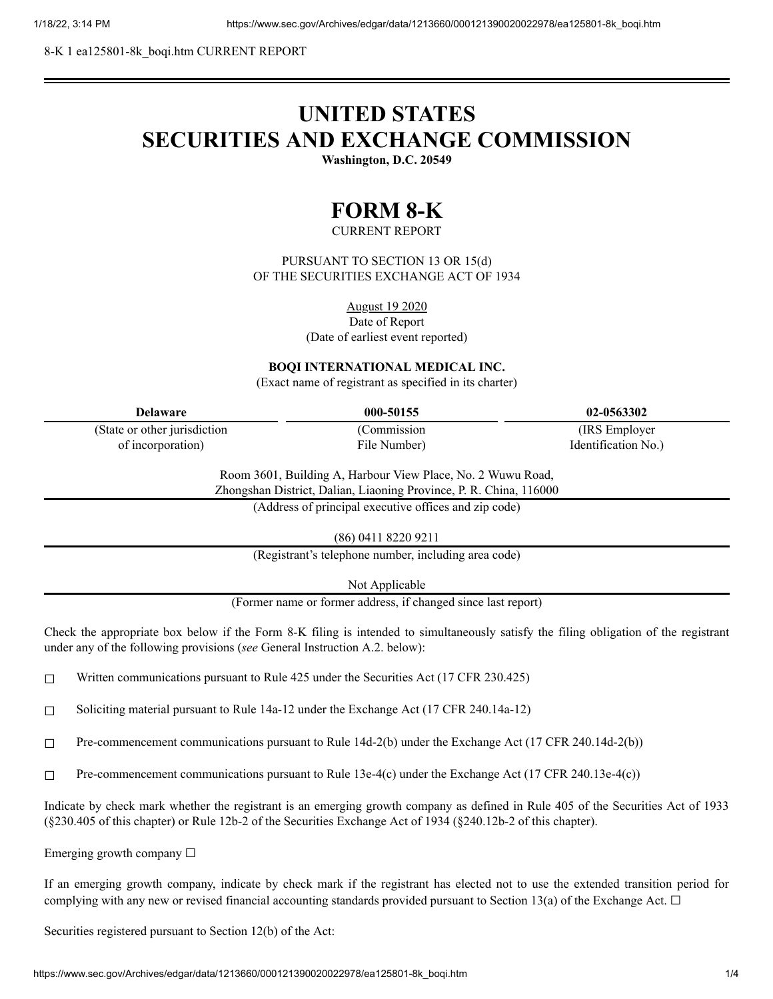8-K 1 ea125801-8k\_boqi.htm CURRENT REPORT

# **UNITED STATES SECURITIES AND EXCHANGE COMMISSION**

**Washington, D.C. 20549**

## **FORM 8-K**

CURRENT REPORT

PURSUANT TO SECTION 13 OR 15(d) OF THE SECURITIES EXCHANGE ACT OF 1934

August 19 2020

Date of Report

(Date of earliest event reported)

### **BOQI INTERNATIONAL MEDICAL INC.**

(Exact name of registrant as specified in its charter)

| Delaware                      | 000-50155    | 02-0563302          |
|-------------------------------|--------------|---------------------|
| (State or other jurisdiction) | Commission   | (IRS Employer)      |
| of incorporation)             | File Number) | Identification No.) |

Room 3601, Building A, Harbour View Place, No. 2 Wuwu Road, Zhongshan District, Dalian, Liaoning Province, P. R. China, 116000

(Address of principal executive offices and zip code)

(86) 0411 8220 9211

(Registrant's telephone number, including area code)

Not Applicable

(Former name or former address, if changed since last report)

Check the appropriate box below if the Form 8-K filing is intended to simultaneously satisfy the filing obligation of the registrant under any of the following provisions (*see* General Instruction A.2. below):

 $\Box$  Written communications pursuant to Rule 425 under the Securities Act (17 CFR 230.425)

☐ Soliciting material pursuant to Rule 14a-12 under the Exchange Act (17 CFR 240.14a-12)

☐ Pre-commencement communications pursuant to Rule 14d-2(b) under the Exchange Act (17 CFR 240.14d-2(b))

☐ Pre-commencement communications pursuant to Rule 13e-4(c) under the Exchange Act (17 CFR 240.13e-4(c))

Indicate by check mark whether the registrant is an emerging growth company as defined in Rule 405 of the Securities Act of 1933 (§230.405 of this chapter) or Rule 12b-2 of the Securities Exchange Act of 1934 (§240.12b-2 of this chapter).

Emerging growth company  $\Box$ 

If an emerging growth company, indicate by check mark if the registrant has elected not to use the extended transition period for complying with any new or revised financial accounting standards provided pursuant to Section 13(a) of the Exchange Act.  $\Box$ 

Securities registered pursuant to Section 12(b) of the Act: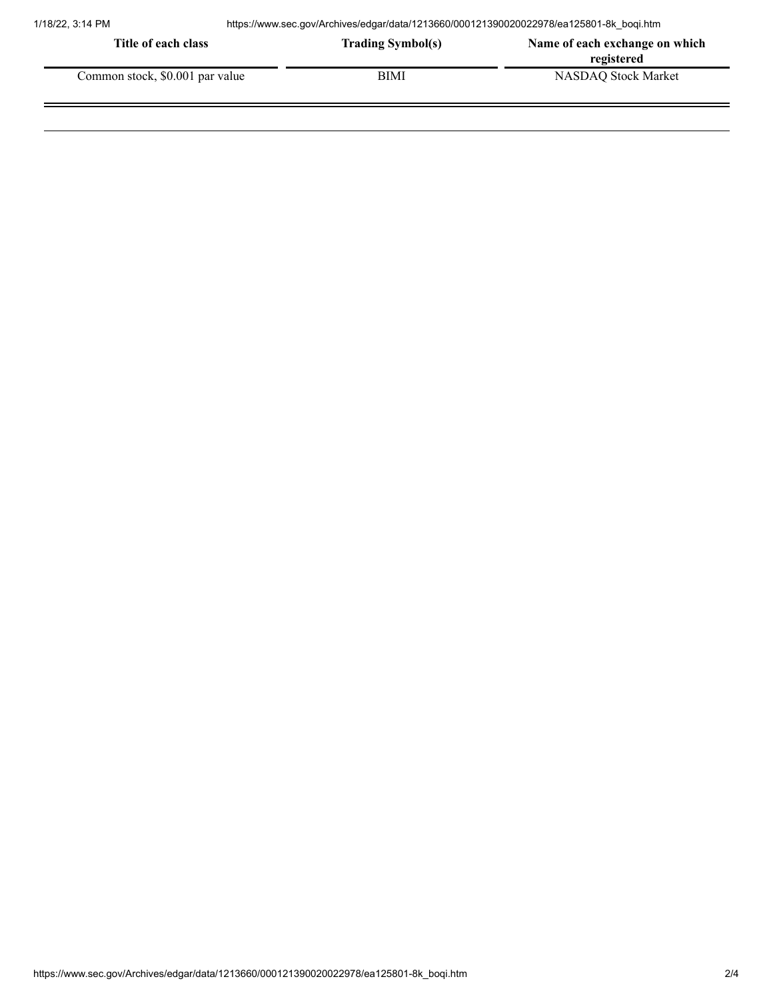| Title of each class             | <b>Trading Symbol(s)</b> | Name of each exchange on which |
|---------------------------------|--------------------------|--------------------------------|
|                                 |                          | registered                     |
| Common stock, \$0.001 par value | BIMI                     | NASDAO Stock Market            |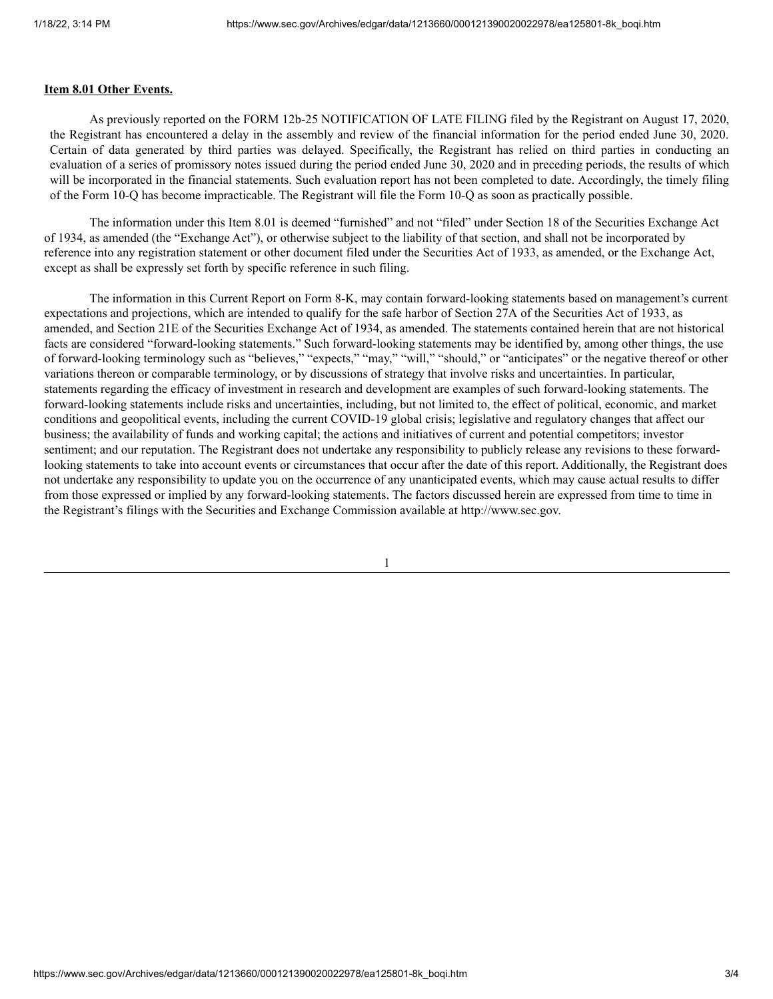#### **Item 8.01 Other Events.**

As previously reported on the FORM 12b-25 NOTIFICATION OF LATE FILING filed by the Registrant on August 17, 2020, the Registrant has encountered a delay in the assembly and review of the financial information for the period ended June 30, 2020. Certain of data generated by third parties was delayed. Specifically, the Registrant has relied on third parties in conducting an evaluation of a series of promissory notes issued during the period ended June 30, 2020 and in preceding periods, the results of which will be incorporated in the financial statements. Such evaluation report has not been completed to date. Accordingly, the timely filing of the Form 10-Q has become impracticable. The Registrant will file the Form 10-Q as soon as practically possible.

The information under this Item 8.01 is deemed "furnished" and not "filed" under Section 18 of the Securities Exchange Act of 1934, as amended (the "Exchange Act"), or otherwise subject to the liability of that section, and shall not be incorporated by reference into any registration statement or other document filed under the Securities Act of 1933, as amended, or the Exchange Act, except as shall be expressly set forth by specific reference in such filing.

The information in this Current Report on Form 8-K, may contain forward-looking statements based on management's current expectations and projections, which are intended to qualify for the safe harbor of Section 27A of the Securities Act of 1933, as amended, and Section 21E of the Securities Exchange Act of 1934, as amended. The statements contained herein that are not historical facts are considered "forward-looking statements." Such forward-looking statements may be identified by, among other things, the use of forward-looking terminology such as "believes," "expects," "may," "will," "should," or "anticipates" or the negative thereof or other variations thereon or comparable terminology, or by discussions of strategy that involve risks and uncertainties. In particular, statements regarding the efficacy of investment in research and development are examples of such forward-looking statements. The forward-looking statements include risks and uncertainties, including, but not limited to, the effect of political, economic, and market conditions and geopolitical events, including the current COVID-19 global crisis; legislative and regulatory changes that affect our business; the availability of funds and working capital; the actions and initiatives of current and potential competitors; investor sentiment; and our reputation. The Registrant does not undertake any responsibility to publicly release any revisions to these forwardlooking statements to take into account events or circumstances that occur after the date of this report. Additionally, the Registrant does not undertake any responsibility to update you on the occurrence of any unanticipated events, which may cause actual results to differ from those expressed or implied by any forward-looking statements. The factors discussed herein are expressed from time to time in the Registrant's filings with the Securities and Exchange Commission available at http://www.sec.gov.

1